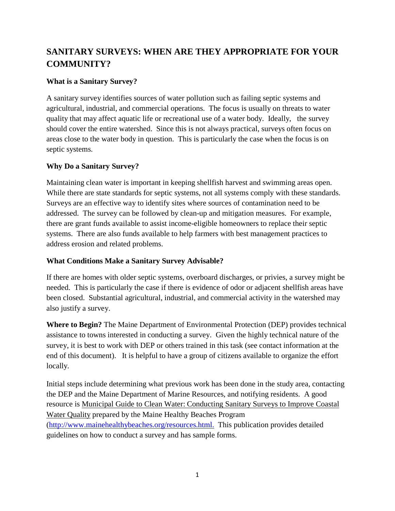# **SANITARY SURVEYS: WHEN ARE THEY APPROPRIATE FOR YOUR COMMUNITY?**

#### **What is a Sanitary Survey?**

A sanitary survey identifies sources of water pollution such as failing septic systems and agricultural, industrial, and commercial operations. The focus is usually on threats to water quality that may affect aquatic life or recreational use of a water body. Ideally, the survey should cover the entire watershed. Since this is not always practical, surveys often focus on areas close to the water body in question. This is particularly the case when the focus is on septic systems.

## **Why Do a Sanitary Survey?**

Maintaining clean water is important in keeping shellfish harvest and swimming areas open. While there are state standards for septic systems, not all systems comply with these standards. Surveys are an effective way to identify sites where sources of contamination need to be addressed. The survey can be followed by clean-up and mitigation measures. For example, there are grant funds available to assist income-eligible homeowners to replace their septic systems. There are also funds available to help farmers with best management practices to address erosion and related problems.

#### **What Conditions Make a Sanitary Survey Advisable?**

If there are homes with older septic systems, overboard discharges, or privies, a survey might be needed. This is particularly the case if there is evidence of odor or adjacent shellfish areas have been closed. Substantial agricultural, industrial, and commercial activity in the watershed may also justify a survey.

**Where to Begin?** The Maine Department of Environmental Protection (DEP) provides technical assistance to towns interested in conducting a survey. Given the highly technical nature of the survey, it is best to work with DEP or others trained in this task (see contact information at the end of this document). It is helpful to have a group of citizens available to organize the effort locally.

Initial steps include determining what previous work has been done in the study area, contacting the DEP and the Maine Department of Marine Resources, and notifying residents. A good resource is Municipal Guide to Clean Water: Conducting Sanitary Surveys to Improve Coastal Water Quality prepared by the Maine Healthy Beaches Program [\(http://www.mainehealthybeaches.org/resources.html.](http://www.mainehealthybeaches.org/resources.html) This publication provides detailed guidelines on how to conduct a survey and has sample forms.